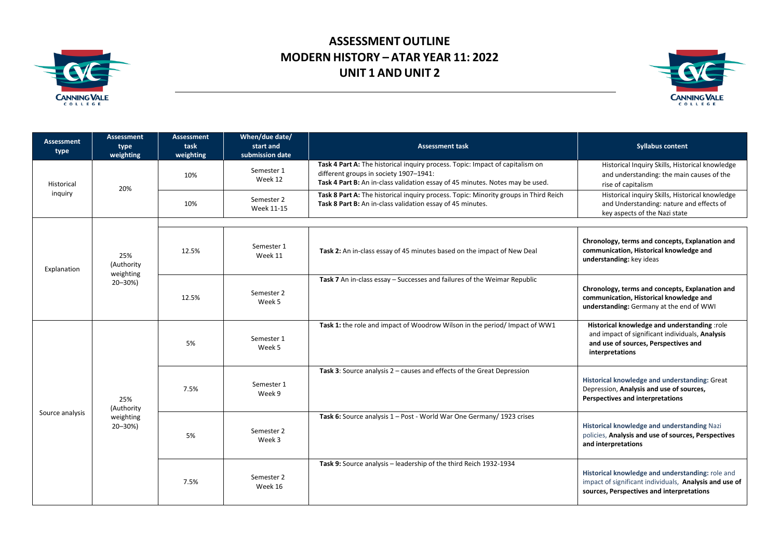

## **ASSESSMENT OUTLINE MODERN HISTORY – ATAR YEAR 11: 2022 UNIT 1 AND UNIT 2**



| <b>Assessment</b><br>type | <b>Assessment</b><br>type<br>weighting         | <b>Assessment</b><br>task<br>weighting | When/due date/<br>start and<br>submission date | <b>Assessment task</b>                                                                                                                                                                                   | <b>Syllabus content</b>                                                                                                                                    |
|---------------------------|------------------------------------------------|----------------------------------------|------------------------------------------------|----------------------------------------------------------------------------------------------------------------------------------------------------------------------------------------------------------|------------------------------------------------------------------------------------------------------------------------------------------------------------|
| Historical<br>inquiry     | 20%                                            | 10%                                    | Semester 1<br>Week 12                          | Task 4 Part A: The historical inquiry process. Topic: Impact of capitalism on<br>different groups in society 1907-1941:<br>Task 4 Part B: An in-class validation essay of 45 minutes. Notes may be used. | Historical Inquiry Skills, Historical knowledge<br>and understanding: the main causes of the<br>rise of capitalism                                         |
|                           |                                                | 10%                                    | Semester 2<br>Week 11-15                       | Task 8 Part A: The historical inquiry process. Topic: Minority groups in Third Reich<br>Task 8 Part B: An in-class validation essay of 45 minutes.                                                       | Historical inquiry Skills, Historical knowledge<br>and Understanding: nature and effects of<br>key aspects of the Nazi state                               |
| Explanation               | 25%<br>(Authority<br>weighting<br>20-30%)      |                                        |                                                |                                                                                                                                                                                                          |                                                                                                                                                            |
|                           |                                                | 12.5%                                  | Semester 1<br>Week 11                          | Task 2: An in-class essay of 45 minutes based on the impact of New Deal                                                                                                                                  | Chronology, terms and concepts, Explanation and<br>communication, Historical knowledge and<br>understanding: key ideas                                     |
|                           |                                                | 12.5%                                  | Semester 2<br>Week 5                           | Task 7 An in-class essay - Successes and failures of the Weimar Republic                                                                                                                                 | Chronology, terms and concepts, Explanation and<br>communication, Historical knowledge and<br>understanding: Germany at the end of WWI                     |
| Source analysis           | 25%<br>(Authority<br>weighting<br>$20 - 30\%)$ | 5%                                     | Semester 1<br>Week 5                           | Task 1: the role and impact of Woodrow Wilson in the period/ Impact of WW1                                                                                                                               | Historical knowledge and understanding :role<br>and impact of significant individuals, Analysis<br>and use of sources, Perspectives and<br>interpretations |
|                           |                                                | 7.5%                                   | Semester 1<br>Week 9                           | Task 3: Source analysis 2 - causes and effects of the Great Depression                                                                                                                                   | Historical knowledge and understanding: Great<br>Depression, Analysis and use of sources,<br>Perspectives and interpretations                              |
|                           |                                                | 5%                                     | Semester 2<br>Week 3                           | Task 6: Source analysis 1 - Post - World War One Germany/ 1923 crises                                                                                                                                    | Historical knowledge and understanding Nazi<br>policies, Analysis and use of sources, Perspectives<br>and interpretations                                  |
|                           |                                                | 7.5%                                   | Semester 2<br>Week 16                          | Task 9: Source analysis - leadership of the third Reich 1932-1934                                                                                                                                        | Historical knowledge and understanding: role and<br>impact of significant individuals, Analysis and use of<br>sources, Perspectives and interpretations    |